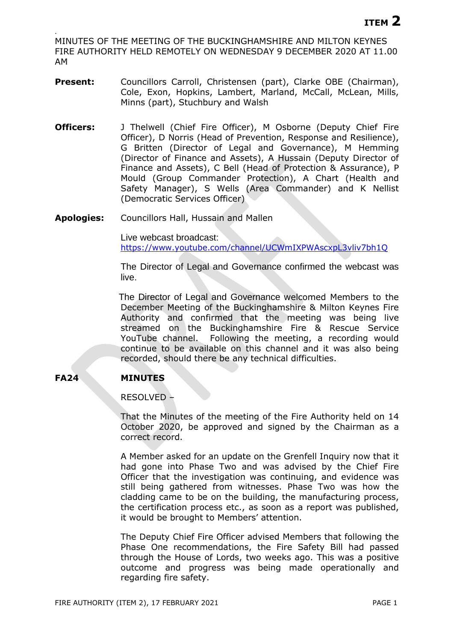. MINUTES OF THE MEETING OF THE BUCKINGHAMSHIRE AND MILTON KEYNES FIRE AUTHORITY HELD REMOTELY ON WEDNESDAY 9 DECEMBER 2020 AT 11.00 AM

- Present: Councillors Carroll, Christensen (part), Clarke OBE (Chairman), Cole, Exon, Hopkins, Lambert, Marland, McCall, McLean, Mills, Minns (part), Stuchbury and Walsh
- **Officers:** J Thelwell (Chief Fire Officer), M Osborne (Deputy Chief Fire Officer), D Norris (Head of Prevention, Response and Resilience), G Britten (Director of Legal and Governance), M Hemming (Director of Finance and Assets), A Hussain (Deputy Director of Finance and Assets), C Bell (Head of Protection & Assurance), P Mould (Group Commander Protection), A Chart (Health and Safety Manager), S Wells (Area Commander) and K Nellist (Democratic Services Officer)
- **Apologies:** Councillors Hall, Hussain and Mallen

Live webcast broadcast: <https://www.youtube.com/channel/UCWmIXPWAscxpL3vliv7bh1Q>

The Director of Legal and Governance confirmed the webcast was live.

The Director of Legal and Governance welcomed Members to the December Meeting of the Buckinghamshire & Milton Keynes Fire Authority and confirmed that the meeting was being live streamed on the Buckinghamshire Fire & Rescue Service YouTube channel. Following the meeting, a recording would continue to be available on this channel and it was also being recorded, should there be any technical difficulties.

# **FA24 MINUTES**

RESOLVED –

That the Minutes of the meeting of the Fire Authority held on 14 October 2020, be approved and signed by the Chairman as a correct record.

A Member asked for an update on the Grenfell Inquiry now that it had gone into Phase Two and was advised by the Chief Fire Officer that the investigation was continuing, and evidence was still being gathered from witnesses. Phase Two was how the cladding came to be on the building, the manufacturing process, the certification process etc., as soon as a report was published, it would be brought to Members' attention.

The Deputy Chief Fire Officer advised Members that following the Phase One recommendations, the Fire Safety Bill had passed through the House of Lords, two weeks ago. This was a positive outcome and progress was being made operationally and regarding fire safety.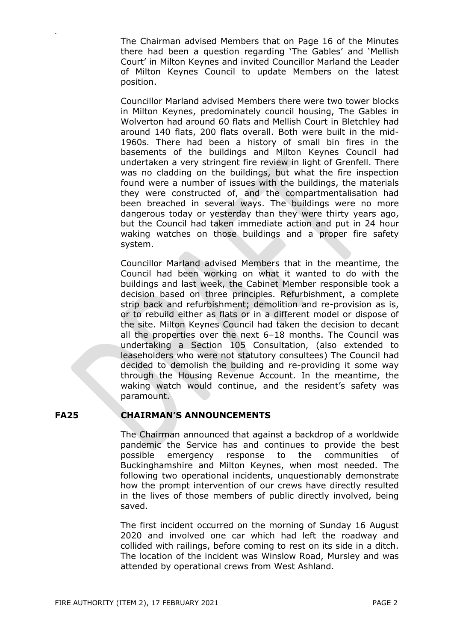The Chairman advised Members that on Page 16 of the Minutes there had been a question regarding 'The Gables' and 'Mellish Court' in Milton Keynes and invited Councillor Marland the Leader of Milton Keynes Council to update Members on the latest position.

Councillor Marland advised Members there were two tower blocks in Milton Keynes, predominately council housing, The Gables in Wolverton had around 60 flats and Mellish Court in Bletchley had around 140 flats, 200 flats overall. Both were built in the mid-1960s. There had been a history of small bin fires in the basements of the buildings and Milton Keynes Council had undertaken a very stringent fire review in light of Grenfell. There was no cladding on the buildings, but what the fire inspection found were a number of issues with the buildings, the materials they were constructed of, and the compartmentalisation had been breached in several ways. The buildings were no more dangerous today or yesterday than they were thirty years ago, but the Council had taken immediate action and put in 24 hour waking watches on those buildings and a proper fire safety system.

Councillor Marland advised Members that in the meantime, the Council had been working on what it wanted to do with the buildings and last week, the Cabinet Member responsible took a decision based on three principles. Refurbishment, a complete strip back and refurbishment; demolition and re-provision as is, or to rebuild either as flats or in a different model or dispose of the site. Milton Keynes Council had taken the decision to decant all the properties over the next 6–18 months. The Council was undertaking a Section 105 Consultation, (also extended to leaseholders who were not statutory consultees) The Council had decided to demolish the building and re-providing it some way through the Housing Revenue Account. In the meantime, the waking watch would continue, and the resident's safety was paramount.

## **FA25 CHAIRMAN'S ANNOUNCEMENTS**

.

The Chairman announced that against a backdrop of a worldwide pandemic the Service has and continues to provide the best possible emergency response to the communities of Buckinghamshire and Milton Keynes, when most needed. The following two operational incidents, unquestionably demonstrate how the prompt intervention of our crews have directly resulted in the lives of those members of public directly involved, being saved.

The first incident occurred on the morning of Sunday 16 August 2020 and involved one car which had left the roadway and collided with railings, before coming to rest on its side in a ditch. The location of the incident was Winslow Road, Mursley and was attended by operational crews from West Ashland.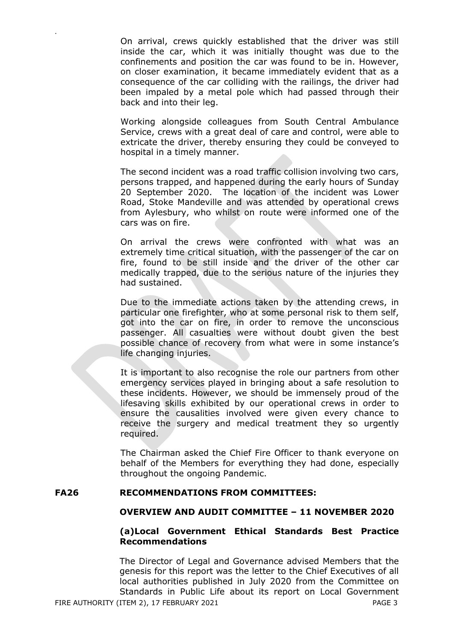On arrival, crews quickly established that the driver was still inside the car, which it was initially thought was due to the confinements and position the car was found to be in. However, on closer examination, it became immediately evident that as a consequence of the car colliding with the railings, the driver had been impaled by a metal pole which had passed through their back and into their leg.

.

Working alongside colleagues from South Central Ambulance Service, crews with a great deal of care and control, were able to extricate the driver, thereby ensuring they could be conveyed to hospital in a timely manner.

The second incident was a road traffic collision involving two cars, persons trapped, and happened during the early hours of Sunday 20 September 2020. The location of the incident was Lower Road, Stoke Mandeville and was attended by operational crews from Aylesbury, who whilst on route were informed one of the cars was on fire.

On arrival the crews were confronted with what was an extremely time critical situation, with the passenger of the car on fire, found to be still inside and the driver of the other car medically trapped, due to the serious nature of the injuries they had sustained.

Due to the immediate actions taken by the attending crews, in particular one firefighter, who at some personal risk to them self, got into the car on fire, in order to remove the unconscious passenger. All casualties were without doubt given the best possible chance of recovery from what were in some instance's life changing injuries.

It is important to also recognise the role our partners from other emergency services played in bringing about a safe resolution to these incidents. However, we should be immensely proud of the lifesaving skills exhibited by our operational crews in order to ensure the causalities involved were given every chance to receive the surgery and medical treatment they so urgently required.

The Chairman asked the Chief Fire Officer to thank everyone on behalf of the Members for everything they had done, especially throughout the ongoing Pandemic.

#### **FA26 RECOMMENDATIONS FROM COMMITTEES:**

#### **OVERVIEW AND AUDIT COMMITTEE – 11 NOVEMBER 2020**

## **(a)Local Government Ethical Standards Best Practice Recommendations**

FIRE AUTHORITY (ITEM 2), 17 FEBRUARY 2021 PAGE 3 The Director of Legal and Governance advised Members that the genesis for this report was the letter to the Chief Executives of all local authorities published in July 2020 from the Committee on Standards in Public Life about its report on Local Government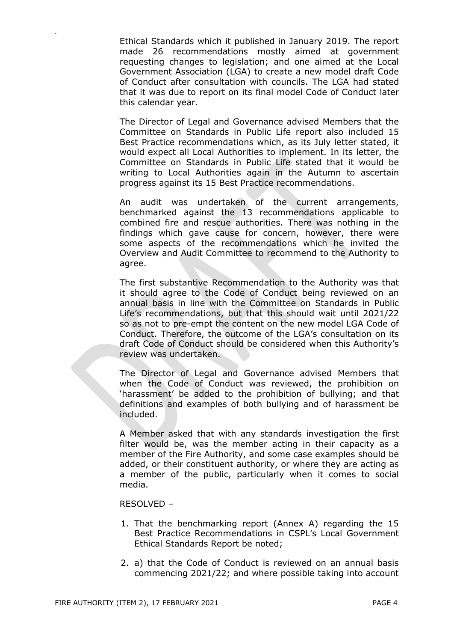Ethical Standards which it published in January 2019. The report made 26 recommendations mostly aimed at government requesting changes to legislation; and one aimed at the Local Government Association (LGA) to create a new model draft Code of Conduct after consultation with councils. The LGA had stated that it was due to report on its final model Code of Conduct later this calendar year.

The Director of Legal and Governance advised Members that the Committee on Standards in Public Life report also included 15 Best Practice recommendations which, as its July letter stated, it would expect all Local Authorities to implement. In its letter, the Committee on Standards in Public Life stated that it would be writing to Local Authorities again in the Autumn to ascertain progress against its 15 Best Practice recommendations.

An audit was undertaken of the current arrangements, benchmarked against the 13 recommendations applicable to combined fire and rescue authorities. There was nothing in the findings which gave cause for concern, however, there were some aspects of the recommendations which he invited the Overview and Audit Committee to recommend to the Authority to agree.

The first substantive Recommendation to the Authority was that it should agree to the Code of Conduct being reviewed on an annual basis in line with the Committee on Standards in Public Life's recommendations, but that this should wait until 2021/22 so as not to pre-empt the content on the new model LGA Code of Conduct. Therefore, the outcome of the LGA's consultation on its draft Code of Conduct should be considered when this Authority's review was undertaken.

The Director of Legal and Governance advised Members that when the Code of Conduct was reviewed, the prohibition on 'harassment' be added to the prohibition of bullying; and that definitions and examples of both bullying and of harassment be included.

A Member asked that with any standards investigation the first filter would be, was the member acting in their capacity as a member of the Fire Authority, and some case examples should be added, or their constituent authority, or where they are acting as a member of the public, particularly when it comes to social media.

### RESOLVED –

.

- 1. That the benchmarking report (Annex A) regarding the 15 Best Practice Recommendations in CSPL's Local Government Ethical Standards Report be noted;
- 2. a) that the Code of Conduct is reviewed on an annual basis commencing 2021/22; and where possible taking into account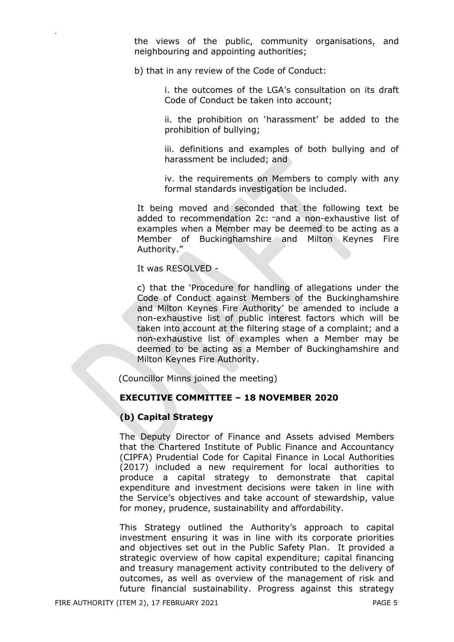the views of the public, community organisations, and neighbouring and appointing authorities;

b) that in any review of the Code of Conduct:

i. the outcomes of the LGA's consultation on its draft Code of Conduct be taken into account;

ii. the prohibition on 'harassment' be added to the prohibition of bullying;

iii. definitions and examples of both bullying and of harassment be included; and

iv. the requirements on Members to comply with any formal standards investigation be included.

It being moved and seconded that the following text be added to recommendation 2c: "and a non-exhaustive list of examples when a Member may be deemed to be acting as a Member of Buckinghamshire and Milton Keynes Fire Authority."

It was RESOLVED -

.

c) that the 'Procedure for handling of allegations under the Code of Conduct against Members of the Buckinghamshire and Milton Keynes Fire Authority' be amended to include a non-exhaustive list of public interest factors which will be taken into account at the filtering stage of a complaint; and a non-exhaustive list of examples when a Member may be deemed to be acting as a Member of Buckinghamshire and Milton Keynes Fire Authority.

(Councillor Minns joined the meeting)

### **EXECUTIVE COMMITTEE – 18 NOVEMBER 2020**

### **(b) Capital Strategy**

The Deputy Director of Finance and Assets advised Members that the Chartered Institute of Public Finance and Accountancy (CIPFA) Prudential Code for Capital Finance in Local Authorities (2017) included a new requirement for local authorities to produce a capital strategy to demonstrate that capital expenditure and investment decisions were taken in line with the Service's objectives and take account of stewardship, value for money, prudence, sustainability and affordability.

This Strategy outlined the Authority's approach to capital investment ensuring it was in line with its corporate priorities and objectives set out in the Public Safety Plan. It provided a strategic overview of how capital expenditure; capital financing and treasury management activity contributed to the delivery of outcomes, as well as overview of the management of risk and future financial sustainability. Progress against this strategy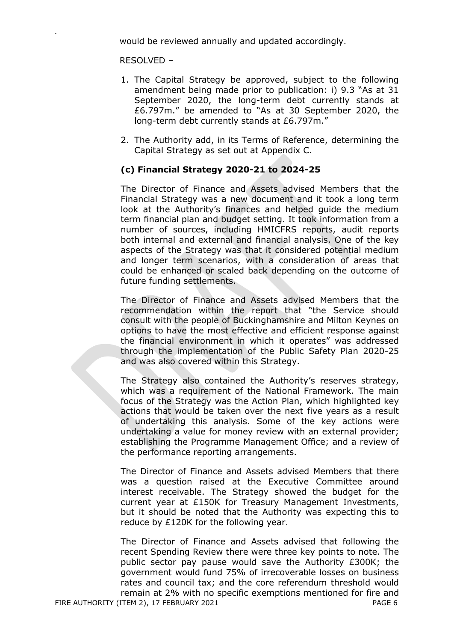would be reviewed annually and updated accordingly.

RESOLVED –

.

- 1. The Capital Strategy be approved, subject to the following amendment being made prior to publication: i) 9.3 "As at 31 September 2020, the long-term debt currently stands at £6.797m." be amended to "As at 30 September 2020, the long-term debt currently stands at £6.797m."
- 2. The Authority add, in its Terms of Reference, determining the Capital Strategy as set out at Appendix C.

## **(c) Financial Strategy 2020-21 to 2024-25**

The Director of Finance and Assets advised Members that the Financial Strategy was a new document and it took a long term look at the Authority's finances and helped guide the medium term financial plan and budget setting. It took information from a number of sources, including HMICFRS reports, audit reports both internal and external and financial analysis. One of the key aspects of the Strategy was that it considered potential medium and longer term scenarios, with a consideration of areas that could be enhanced or scaled back depending on the outcome of future funding settlements.

The Director of Finance and Assets advised Members that the recommendation within the report that "the Service should consult with the people of Buckinghamshire and Milton Keynes on options to have the most effective and efficient response against the financial environment in which it operates" was addressed through the implementation of the Public Safety Plan 2020-25 and was also covered within this Strategy.

The Strategy also contained the Authority's reserves strategy, which was a requirement of the National Framework. The main focus of the Strategy was the Action Plan, which highlighted key actions that would be taken over the next five years as a result of undertaking this analysis. Some of the key actions were undertaking a value for money review with an external provider; establishing the Programme Management Office; and a review of the performance reporting arrangements.

The Director of Finance and Assets advised Members that there was a question raised at the Executive Committee around interest receivable. The Strategy showed the budget for the current year at £150K for Treasury Management Investments, but it should be noted that the Authority was expecting this to reduce by £120K for the following year.

FIRE AUTHORITY (ITEM 2), 17 FEBRUARY 2021 PAGE 6 The Director of Finance and Assets advised that following the recent Spending Review there were three key points to note. The public sector pay pause would save the Authority £300K; the government would fund 75% of irrecoverable losses on business rates and council tax; and the core referendum threshold would remain at 2% with no specific exemptions mentioned for fire and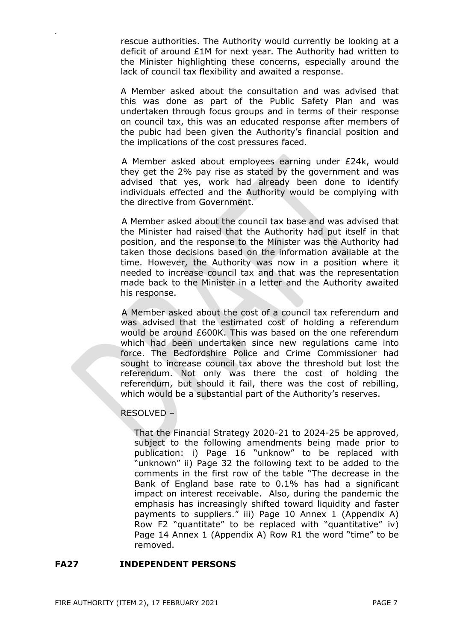rescue authorities. The Authority would currently be looking at a deficit of around £1M for next year. The Authority had written to the Minister highlighting these concerns, especially around the lack of council tax flexibility and awaited a response.

A Member asked about the consultation and was advised that this was done as part of the Public Safety Plan and was undertaken through focus groups and in terms of their response on council tax, this was an educated response after members of the pubic had been given the Authority's financial position and the implications of the cost pressures faced.

A Member asked about employees earning under £24k, would they get the 2% pay rise as stated by the government and was advised that yes, work had already been done to identify individuals effected and the Authority would be complying with the directive from Government.

A Member asked about the council tax base and was advised that the Minister had raised that the Authority had put itself in that position, and the response to the Minister was the Authority had taken those decisions based on the information available at the time. However, the Authority was now in a position where it needed to increase council tax and that was the representation made back to the Minister in a letter and the Authority awaited his response.

A Member asked about the cost of a council tax referendum and was advised that the estimated cost of holding a referendum would be around £600K. This was based on the one referendum which had been undertaken since new regulations came into force. The Bedfordshire Police and Crime Commissioner had sought to increase council tax above the threshold but lost the referendum. Not only was there the cost of holding the referendum, but should it fail, there was the cost of rebilling, which would be a substantial part of the Authority's reserves.

### RESOLVED –

.

That the Financial Strategy 2020-21 to 2024-25 be approved, subject to the following amendments being made prior to publication: i) Page 16 "unknow" to be replaced with "unknown" ii) Page 32 the following text to be added to the comments in the first row of the table "The decrease in the Bank of England base rate to 0.1% has had a significant impact on interest receivable. Also, during the pandemic the emphasis has increasingly shifted toward liquidity and faster payments to suppliers." iii) Page 10 Annex 1 (Appendix A) Row F2 "quantitate" to be replaced with "quantitative" iv) Page 14 Annex 1 (Appendix A) Row R1 the word "time" to be removed.

#### **FA27 INDEPENDENT PERSONS**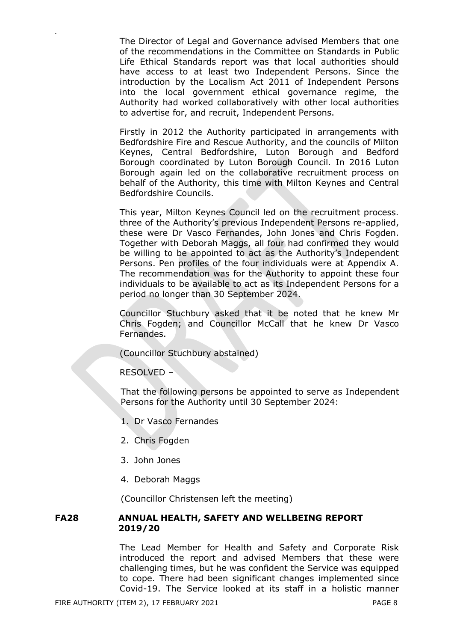The Director of Legal and Governance advised Members that one of the recommendations in the Committee on Standards in Public Life Ethical Standards report was that local authorities should have access to at least two Independent Persons. Since the introduction by the Localism Act 2011 of Independent Persons into the local government ethical governance regime, the Authority had worked collaboratively with other local authorities to advertise for, and recruit, Independent Persons.

Firstly in 2012 the Authority participated in arrangements with Bedfordshire Fire and Rescue Authority, and the councils of Milton Keynes, Central Bedfordshire, Luton Borough and Bedford Borough coordinated by Luton Borough Council. In 2016 Luton Borough again led on the collaborative recruitment process on behalf of the Authority, this time with Milton Keynes and Central Bedfordshire Councils.

This year, Milton Keynes Council led on the recruitment process. three of the Authority's previous Independent Persons re-applied, these were Dr Vasco Fernandes, John Jones and Chris Fogden. Together with Deborah Maggs, all four had confirmed they would be willing to be appointed to act as the Authority's Independent Persons. Pen profiles of the four individuals were at Appendix A. The recommendation was for the Authority to appoint these four individuals to be available to act as its Independent Persons for a period no longer than 30 September 2024.

Councillor Stuchbury asked that it be noted that he knew Mr Chris Fogden; and Councillor McCall that he knew Dr Vasco Fernandes.

(Councillor Stuchbury abstained)

RESOLVED –

.

That the following persons be appointed to serve as Independent Persons for the Authority until 30 September 2024:

- 1. Dr Vasco Fernandes
- 2. Chris Fogden
- 3. John Jones
- 4. Deborah Maggs

(Councillor Christensen left the meeting)

#### **FA28 ANNUAL HEALTH, SAFETY AND WELLBEING REPORT 2019/20**

The Lead Member for Health and Safety and Corporate Risk introduced the report and advised Members that these were challenging times, but he was confident the Service was equipped to cope. There had been significant changes implemented since Covid-19. The Service looked at its staff in a holistic manner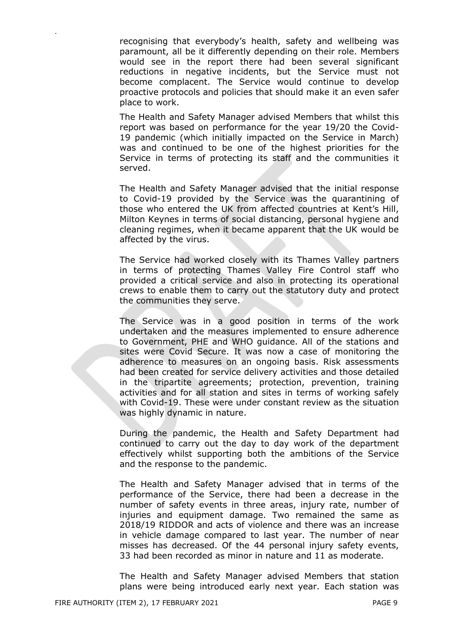recognising that everybody's health, safety and wellbeing was paramount, all be it differently depending on their role. Members would see in the report there had been several significant reductions in negative incidents, but the Service must not become complacent. The Service would continue to develop proactive protocols and policies that should make it an even safer place to work.

The Health and Safety Manager advised Members that whilst this report was based on performance for the year 19/20 the Covid-19 pandemic (which initially impacted on the Service in March) was and continued to be one of the highest priorities for the Service in terms of protecting its staff and the communities it served.

The Health and Safety Manager advised that the initial response to Covid-19 provided by the Service was the quarantining of those who entered the UK from affected countries at Kent's Hill, Milton Keynes in terms of social distancing, personal hygiene and cleaning regimes, when it became apparent that the UK would be affected by the virus.

The Service had worked closely with its Thames Valley partners in terms of protecting Thames Valley Fire Control staff who provided a critical service and also in protecting its operational crews to enable them to carry out the statutory duty and protect the communities they serve.

The Service was in a good position in terms of the work undertaken and the measures implemented to ensure adherence to Government, PHE and WHO guidance. All of the stations and sites were Covid Secure. It was now a case of monitoring the adherence to measures on an ongoing basis. Risk assessments had been created for service delivery activities and those detailed in the tripartite agreements; protection, prevention, training activities and for all station and sites in terms of working safely with Covid-19. These were under constant review as the situation was highly dynamic in nature.

During the pandemic, the Health and Safety Department had continued to carry out the day to day work of the department effectively whilst supporting both the ambitions of the Service and the response to the pandemic.

The Health and Safety Manager advised that in terms of the performance of the Service, there had been a decrease in the number of safety events in three areas, injury rate, number of injuries and equipment damage. Two remained the same as 2018/19 RIDDOR and acts of violence and there was an increase in vehicle damage compared to last year. The number of near misses has decreased. Of the 44 personal injury safety events, 33 had been recorded as minor in nature and 11 as moderate.

The Health and Safety Manager advised Members that station plans were being introduced early next year. Each station was

.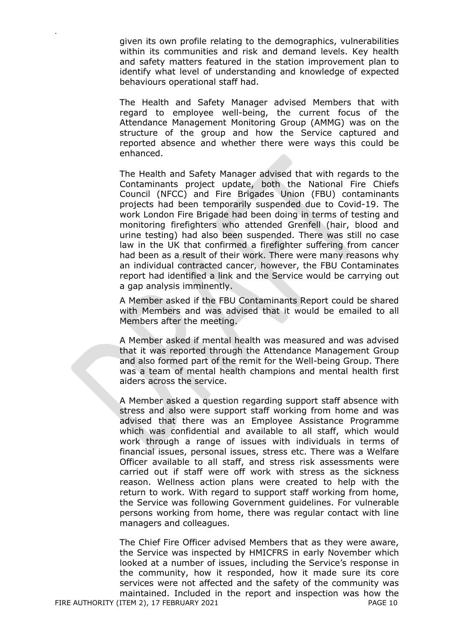given its own profile relating to the demographics, vulnerabilities within its communities and risk and demand levels. Key health and safety matters featured in the station improvement plan to identify what level of understanding and knowledge of expected behaviours operational staff had.

The Health and Safety Manager advised Members that with regard to employee well-being, the current focus of the Attendance Management Monitoring Group (AMMG) was on the structure of the group and how the Service captured and reported absence and whether there were ways this could be enhanced.

The Health and Safety Manager advised that with regards to the Contaminants project update, both the National Fire Chiefs Council (NFCC) and Fire Brigades Union (FBU) contaminants projects had been temporarily suspended due to Covid-19. The work London Fire Brigade had been doing in terms of testing and monitoring firefighters who attended Grenfell (hair, blood and urine testing) had also been suspended. There was still no case law in the UK that confirmed a firefighter suffering from cancer had been as a result of their work. There were many reasons why an individual contracted cancer, however, the FBU Contaminates report had identified a link and the Service would be carrying out a gap analysis imminently.

A Member asked if the FBU Contaminants Report could be shared with Members and was advised that it would be emailed to all Members after the meeting.

A Member asked if mental health was measured and was advised that it was reported through the Attendance Management Group and also formed part of the remit for the Well-being Group. There was a team of mental health champions and mental health first aiders across the service.

A Member asked a question regarding support staff absence with stress and also were support staff working from home and was advised that there was an Employee Assistance Programme which was confidential and available to all staff, which would work through a range of issues with individuals in terms of financial issues, personal issues, stress etc. There was a Welfare Officer available to all staff, and stress risk assessments were carried out if staff were off work with stress as the sickness reason. Wellness action plans were created to help with the return to work. With regard to support staff working from home, the Service was following Government guidelines. For vulnerable persons working from home, there was regular contact with line managers and colleagues.

FIRE AUTHORITY (ITEM 2), 17 FEBRUARY 2021 PAGE 10 The Chief Fire Officer advised Members that as they were aware, the Service was inspected by HMICFRS in early November which looked at a number of issues, including the Service's response in the community, how it responded, how it made sure its core services were not affected and the safety of the community was maintained. Included in the report and inspection was how the

.